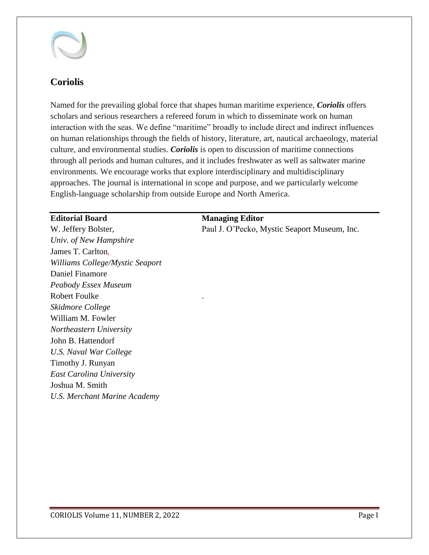

# **Coriolis**

Named for the prevailing global force that shapes human maritime experience, *Coriolis* offers scholars and serious researchers a refereed forum in which to disseminate work on human interaction with the seas. We define "maritime" broadly to include direct and indirect influences on human relationships through the fields of history, literature, art, nautical archaeology, material culture, and environmental studies. *Coriolis* is open to discussion of maritime connections through all periods and human cultures, and it includes freshwater as well as saltwater marine environments. We encourage works that explore interdisciplinary and multidisciplinary approaches. The journal is international in scope and purpose, and we particularly welcome English-language scholarship from outside Europe and North America.

## **Editorial Board Managing Editor**

*Univ. of New Hampshire* [James T.](javascript:openRTWindow() Carlton, *Williams College/Mystic Seaport* [Daniel Finamore](javascript:openRTWindow() *Peabody Essex Museum* [Robert Foulke](javascript:openRTWindow() . *Skidmore College* [William M. Fowler](javascript:openRTWindow() *Northeastern University* [John B. Hattendorf](javascript:openRTWindow() *U.S. Naval War College* [Timothy J. Runyan](javascript:openRTWindow() *East Carolina University* Joshua M. Smith *U.S. Merchant Marine Academy*

[W. Jeffery Bolster,](javascript:openRTWindow() Paul J. O'Pecko, Mystic Seaport Museum, Inc.